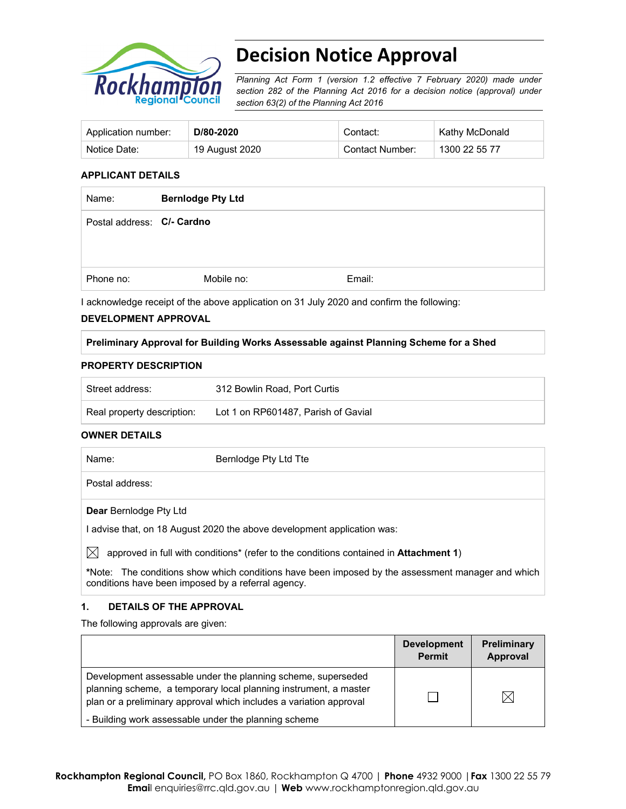

# **Decision Notice Approval**

*Planning Act Form 1 (version 1.2 effective 7 February 2020) made under section 282 of the Planning Act 2016 for a decision notice (approval) under section 63(2) of the Planning Act 2016*

| Application number: | D/80-2020      | Contact:        | Kathy McDonald |
|---------------------|----------------|-----------------|----------------|
| Notice Date:        | 19 August 2020 | Contact Number: | 1300 22 55 77  |

### **APPLICANT DETAILS**

| Name:                      | <b>Bernlodge Pty Ltd</b> |        |
|----------------------------|--------------------------|--------|
| Postal address: C/- Cardno |                          |        |
|                            |                          |        |
| Phone no:                  | Mobile no:               | Email: |

I acknowledge receipt of the above application on 31 July 2020 and confirm the following:

#### **DEVELOPMENT APPROVAL**

#### **Preliminary Approval for Building Works Assessable against Planning Scheme for a Shed**

#### **PROPERTY DESCRIPTION**

| ' Street address:          | 312 Bowlin Road, Port Curtis        |
|----------------------------|-------------------------------------|
| Real property description: | Lot 1 on RP601487, Parish of Gavial |

#### **OWNER DETAILS**

| Name:           | Bernlodge Pty Ltd Tte |
|-----------------|-----------------------|
| Postal address: |                       |

# **Dear** Bernlodge Pty Ltd

I advise that, on 18 August 2020 the above development application was:

 $\boxtimes$  approved in full with conditions<sup>\*</sup> (refer to the conditions contained in **Attachment 1**)

**\***Note:The conditions show which conditions have been imposed by the assessment manager and which conditions have been imposed by a referral agency.

# **1. DETAILS OF THE APPROVAL**

The following approvals are given:

|                                                                                                                                                                                                        | <b>Development</b><br><b>Permit</b> | <b>Preliminary</b><br>Approval |
|--------------------------------------------------------------------------------------------------------------------------------------------------------------------------------------------------------|-------------------------------------|--------------------------------|
| Development assessable under the planning scheme, superseded<br>planning scheme, a temporary local planning instrument, a master<br>plan or a preliminary approval which includes a variation approval |                                     |                                |
| - Building work assessable under the planning scheme                                                                                                                                                   |                                     |                                |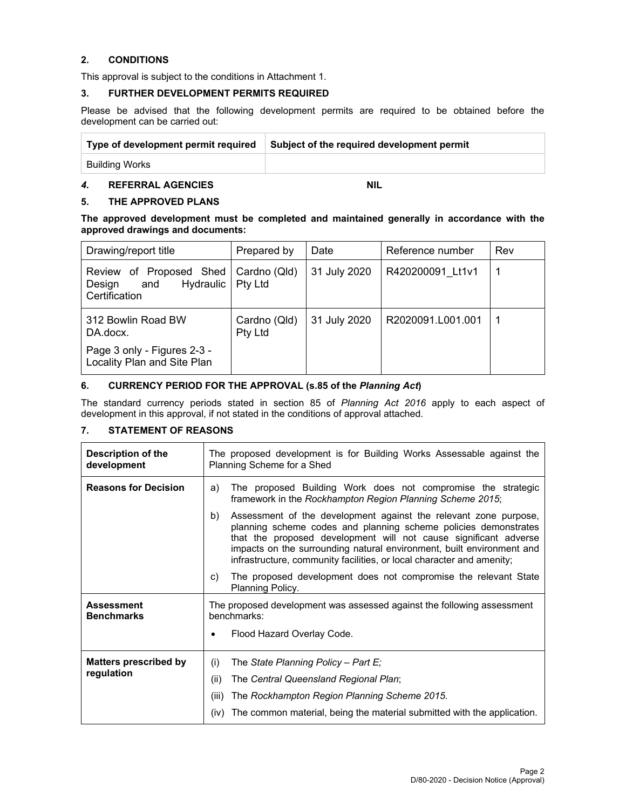# **2. CONDITIONS**

This approval is subject to the conditions in Attachment 1.

#### **3. FURTHER DEVELOPMENT PERMITS REQUIRED**

Please be advised that the following development permits are required to be obtained before the development can be carried out:

| Type of development permit required | Subject of the required development permit |
|-------------------------------------|--------------------------------------------|
| <b>Building Works</b>               |                                            |

# **4. REFERRAL AGENCIES NIL**

# **5. THE APPROVED PLANS**

**The approved development must be completed and maintained generally in accordance with the approved drawings and documents:** 

| Drawing/report title                                                   | Prepared by                    | Date         | Reference number  | Rev |
|------------------------------------------------------------------------|--------------------------------|--------------|-------------------|-----|
| Review of Proposed Shed<br>Hydraulic<br>Design<br>and<br>Certification | Cardno (Qld)<br><b>Pty Ltd</b> | 31 July 2020 | R420200091 Lt1v1  |     |
| 312 Bowlin Road BW<br>DA.docx.                                         | Cardno (Qld)<br>Pty Ltd        | 31 July 2020 | R2020091.L001.001 |     |
| Page 3 only - Figures 2-3 -<br>Locality Plan and Site Plan             |                                |              |                   |     |

# **6. CURRENCY PERIOD FOR THE APPROVAL (s.85 of the** *Planning Act***)**

The standard currency periods stated in section 85 of *Planning Act 2016* apply to each aspect of development in this approval, if not stated in the conditions of approval attached.

# **7. STATEMENT OF REASONS**

| <b>Description of the</b><br>development | The proposed development is for Building Works Assessable against the<br>Planning Scheme for a Shed                                                                                                                                                                                                                                                             |  |  |
|------------------------------------------|-----------------------------------------------------------------------------------------------------------------------------------------------------------------------------------------------------------------------------------------------------------------------------------------------------------------------------------------------------------------|--|--|
| <b>Reasons for Decision</b>              | The proposed Building Work does not compromise the strategic<br>a)<br>framework in the Rockhampton Region Planning Scheme 2015;                                                                                                                                                                                                                                 |  |  |
|                                          | Assessment of the development against the relevant zone purpose,<br>b)<br>planning scheme codes and planning scheme policies demonstrates<br>that the proposed development will not cause significant adverse<br>impacts on the surrounding natural environment, built environment and<br>infrastructure, community facilities, or local character and amenity; |  |  |
|                                          | The proposed development does not compromise the relevant State<br>C)<br>Planning Policy.                                                                                                                                                                                                                                                                       |  |  |
| <b>Assessment</b><br><b>Benchmarks</b>   | The proposed development was assessed against the following assessment<br>benchmarks:                                                                                                                                                                                                                                                                           |  |  |
|                                          | Flood Hazard Overlay Code.<br>$\bullet$                                                                                                                                                                                                                                                                                                                         |  |  |
| <b>Matters prescribed by</b>             | (i)<br>The State Planning Policy - Part E;                                                                                                                                                                                                                                                                                                                      |  |  |
| regulation                               | (ii)<br>The Central Queensland Regional Plan;                                                                                                                                                                                                                                                                                                                   |  |  |
|                                          | The Rockhampton Region Planning Scheme 2015.<br>(iii)                                                                                                                                                                                                                                                                                                           |  |  |
|                                          | The common material, being the material submitted with the application.<br>(iv)                                                                                                                                                                                                                                                                                 |  |  |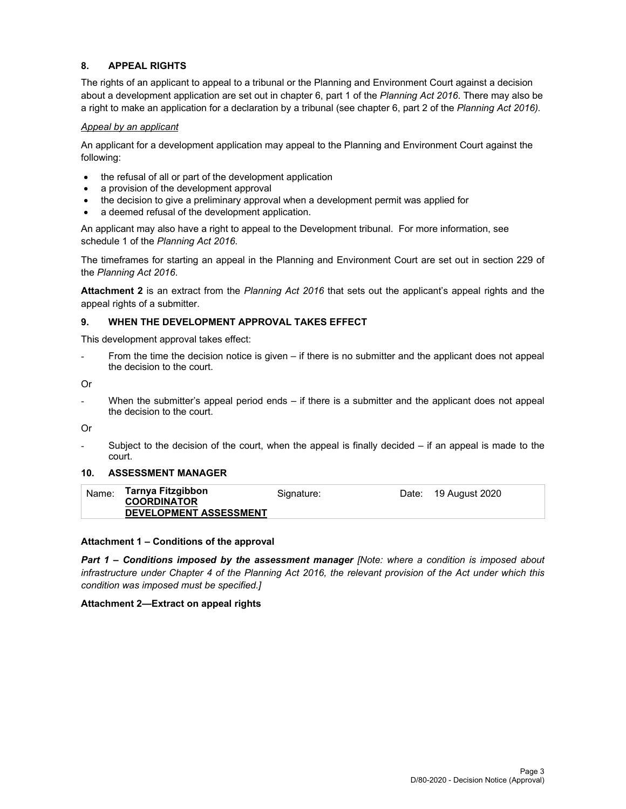# **8. APPEAL RIGHTS**

The rights of an applicant to appeal to a tribunal or the Planning and Environment Court against a decision about a development application are set out in chapter 6, part 1 of the *Planning Act 2016*. There may also be a right to make an application for a declaration by a tribunal (see chapter 6, part 2 of the *Planning Act 2016).*

#### *Appeal by an applicant*

An applicant for a development application may appeal to the Planning and Environment Court against the following:

- the refusal of all or part of the development application
- a provision of the development approval
- the decision to give a preliminary approval when a development permit was applied for
- a deemed refusal of the development application.

An applicant may also have a right to appeal to the Development tribunal. For more information, see schedule 1 of the *Planning Act 2016*.

The timeframes for starting an appeal in the Planning and Environment Court are set out in section 229 of the *Planning Act 2016*.

**Attachment 2** is an extract from the *Planning Act 2016* that sets out the applicant's appeal rights and the appeal rights of a submitter.

#### **9. WHEN THE DEVELOPMENT APPROVAL TAKES EFFECT**

This development approval takes effect:

From the time the decision notice is given – if there is no submitter and the applicant does not appeal the decision to the court.

Or

When the submitter's appeal period ends – if there is a submitter and the applicant does not appeal the decision to the court.

Or

Subject to the decision of the court, when the appeal is finally decided  $-$  if an appeal is made to the court.

#### **10. ASSESSMENT MANAGER**

| Date: 19 August 2020<br><b>COORDINATOR</b><br><b>DEVELOPMENT ASSESSMENT</b> |
|-----------------------------------------------------------------------------|
|-----------------------------------------------------------------------------|

#### **Attachment 1 – Conditions of the approval**

*Part 1* **–** *Conditions imposed by the assessment manager [Note: where a condition is imposed about infrastructure under Chapter 4 of the Planning Act 2016, the relevant provision of the Act under which this condition was imposed must be specified.]*

#### **Attachment 2—Extract on appeal rights**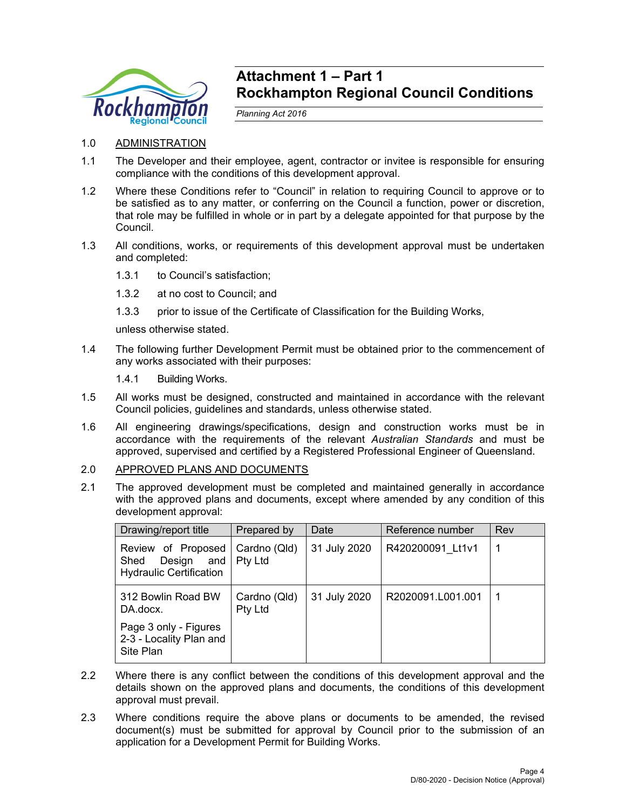

# **Attachment 1 – Part 1 Rockhampton Regional Council Conditions**

*Planning Act 2016* 

- 1.0 ADMINISTRATION
- 1.1 The Developer and their employee, agent, contractor or invitee is responsible for ensuring compliance with the conditions of this development approval.
- 1.2 Where these Conditions refer to "Council" in relation to requiring Council to approve or to be satisfied as to any matter, or conferring on the Council a function, power or discretion, that role may be fulfilled in whole or in part by a delegate appointed for that purpose by the Council.
- 1.3 All conditions, works, or requirements of this development approval must be undertaken and completed:
	- 1.3.1 to Council's satisfaction;
	- 1.3.2 at no cost to Council; and
	- 1.3.3 prior to issue of the Certificate of Classification for the Building Works,

unless otherwise stated.

- 1.4 The following further Development Permit must be obtained prior to the commencement of any works associated with their purposes:
	- 1.4.1 Building Works.
- 1.5 All works must be designed, constructed and maintained in accordance with the relevant Council policies, guidelines and standards, unless otherwise stated.
- 1.6 All engineering drawings/specifications, design and construction works must be in accordance with the requirements of the relevant *Australian Standards* and must be approved, supervised and certified by a Registered Professional Engineer of Queensland.
- 2.0 APPROVED PLANS AND DOCUMENTS
- 2.1 The approved development must be completed and maintained generally in accordance with the approved plans and documents, except where amended by any condition of this development approval:

| Drawing/report title                                                          | Prepared by                    | Date         | Reference number  | Rev |
|-------------------------------------------------------------------------------|--------------------------------|--------------|-------------------|-----|
| Review of Proposed<br>Design<br>and<br>Shed<br><b>Hydraulic Certification</b> | Cardno (Qld)<br><b>Pty Ltd</b> | 31 July 2020 | R420200091 Lt1v1  |     |
| 312 Bowlin Road BW<br>DA.docx.                                                | Cardno (Qld)<br>Pty Ltd        | 31 July 2020 | R2020091.L001.001 |     |
| Page 3 only - Figures<br>2-3 - Locality Plan and<br>Site Plan                 |                                |              |                   |     |

- 2.2 Where there is any conflict between the conditions of this development approval and the details shown on the approved plans and documents, the conditions of this development approval must prevail.
- 2.3 Where conditions require the above plans or documents to be amended, the revised document(s) must be submitted for approval by Council prior to the submission of an application for a Development Permit for Building Works.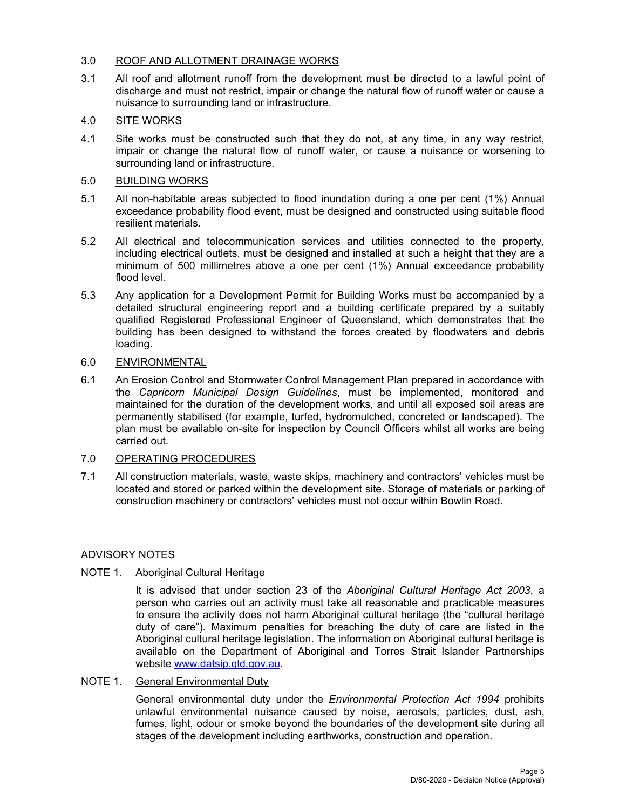# 3.0 ROOF AND ALLOTMENT DRAINAGE WORKS

3.1 All roof and allotment runoff from the development must be directed to a lawful point of discharge and must not restrict, impair or change the natural flow of runoff water or cause a nuisance to surrounding land or infrastructure.

# 4.0 SITE WORKS

4.1 Site works must be constructed such that they do not, at any time, in any way restrict, impair or change the natural flow of runoff water, or cause a nuisance or worsening to surrounding land or infrastructure.

# 5.0 BUILDING WORKS

- 5.1 All non-habitable areas subjected to flood inundation during a one per cent (1%) Annual exceedance probability flood event, must be designed and constructed using suitable flood resilient materials.
- 5.2 All electrical and telecommunication services and utilities connected to the property, including electrical outlets, must be designed and installed at such a height that they are a minimum of 500 millimetres above a one per cent (1%) Annual exceedance probability flood level.
- 5.3 Any application for a Development Permit for Building Works must be accompanied by a detailed structural engineering report and a building certificate prepared by a suitably qualified Registered Professional Engineer of Queensland, which demonstrates that the building has been designed to withstand the forces created by floodwaters and debris loading.

# 6.0 ENVIRONMENTAL

6.1 An Erosion Control and Stormwater Control Management Plan prepared in accordance with the *Capricorn Municipal Design Guidelines*, must be implemented, monitored and maintained for the duration of the development works, and until all exposed soil areas are permanently stabilised (for example, turfed, hydromulched, concreted or landscaped). The plan must be available on-site for inspection by Council Officers whilst all works are being carried out.

# 7.0 OPERATING PROCEDURES

7.1 All construction materials, waste, waste skips, machinery and contractors' vehicles must be located and stored or parked within the development site. Storage of materials or parking of construction machinery or contractors' vehicles must not occur within Bowlin Road.

# ADVISORY NOTES

# NOTE 1. Aboriginal Cultural Heritage

It is advised that under section 23 of the *Aboriginal Cultural Heritage Act 2003*, a person who carries out an activity must take all reasonable and practicable measures to ensure the activity does not harm Aboriginal cultural heritage (the "cultural heritage duty of care"). Maximum penalties for breaching the duty of care are listed in the Aboriginal cultural heritage legislation. The information on Aboriginal cultural heritage is available on the Department of Aboriginal and Torres Strait Islander Partnerships website www.datsip.qld.gov.au.

# NOTE 1. General Environmental Duty

General environmental duty under the *Environmental Protection Act 1994* prohibits unlawful environmental nuisance caused by noise, aerosols, particles, dust, ash, fumes, light, odour or smoke beyond the boundaries of the development site during all stages of the development including earthworks, construction and operation.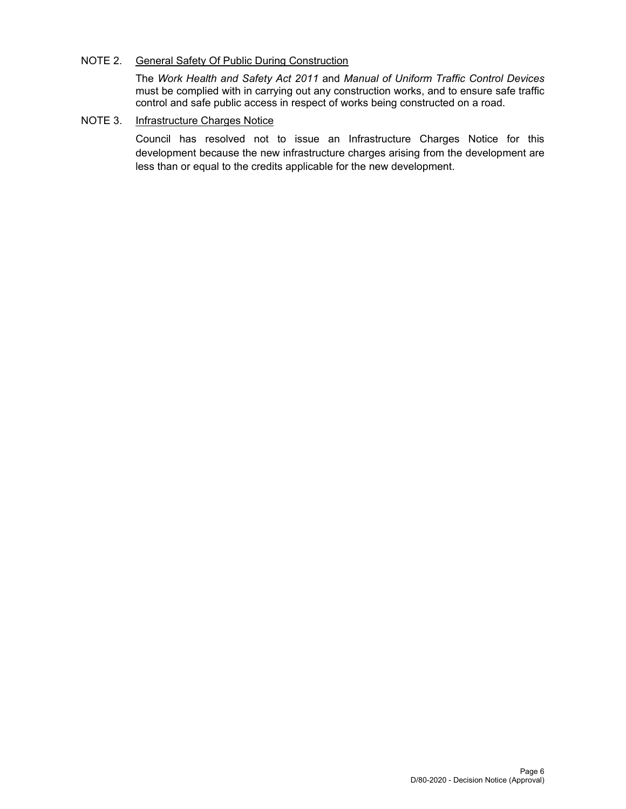# NOTE 2. General Safety Of Public During Construction

The *Work Health and Safety Act 2011* and *Manual of Uniform Traffic Control Devices* must be complied with in carrying out any construction works, and to ensure safe traffic control and safe public access in respect of works being constructed on a road.

# NOTE 3. Infrastructure Charges Notice

Council has resolved not to issue an Infrastructure Charges Notice for this development because the new infrastructure charges arising from the development are less than or equal to the credits applicable for the new development.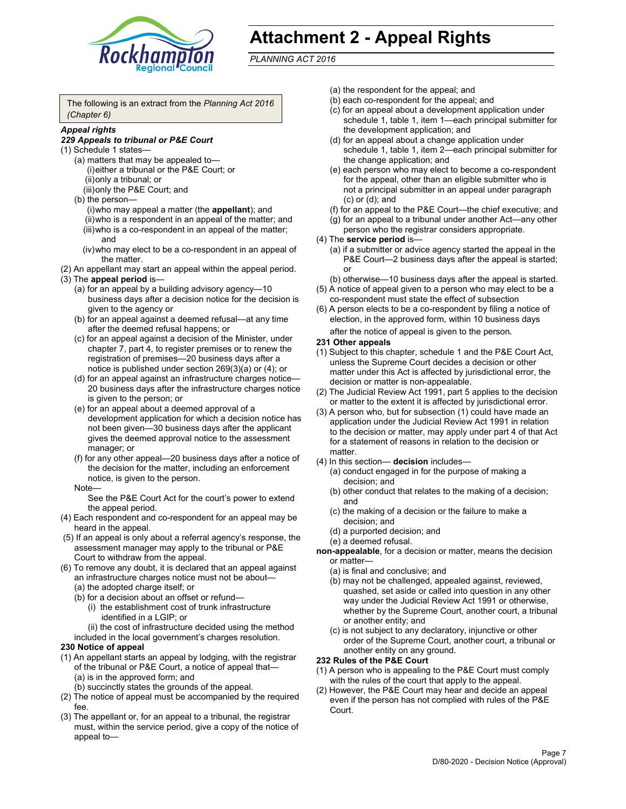

# **Attachment 2 - Appeal Rights**

*PLANNING ACT 2016*

The following is an extract from the *Planning Act 2016 (Chapter 6)*

# *Appeal rights*

#### *229 Appeals to tribunal or P&E Court*

- (1) Schedule 1 states—
	- (a) matters that may be appealed to— (i) either a tribunal or the P&E Court; or (ii) only a tribunal; or (iii) only the P&E Court; and
	- (b) the person—
		- (i) who may appeal a matter (the **appellant**); and
		- (ii) who is a respondent in an appeal of the matter; and (iii) who is a co-respondent in an appeal of the matter; and
		- (iv) who may elect to be a co-respondent in an appeal of the matter.
- (2) An appellant may start an appeal within the appeal period.
- (3) The **appeal period** is—
	- (a) for an appeal by a building advisory agency—10 business days after a decision notice for the decision is given to the agency or
	- (b) for an appeal against a deemed refusal—at any time after the deemed refusal happens; or
	- (c) for an appeal against a decision of the Minister, under chapter 7, part 4, to register premises or to renew the registration of premises—20 business days after a notice is published under section 269(3)(a) or (4); or
	- (d) for an appeal against an infrastructure charges notice— 20 business days after the infrastructure charges notice is given to the person; or
	- (e) for an appeal about a deemed approval of a development application for which a decision notice has not been given—30 business days after the applicant gives the deemed approval notice to the assessment manager; or
	- (f) for any other appeal—20 business days after a notice of the decision for the matter, including an enforcement notice, is given to the person.

#### Note—

See the P&E Court Act for the court's power to extend the appeal period.

- (4) Each respondent and co-respondent for an appeal may be heard in the appeal.
- (5) If an appeal is only about a referral agency's response, the assessment manager may apply to the tribunal or P&E Court to withdraw from the appeal.
- (6) To remove any doubt, it is declared that an appeal against an infrastructure charges notice must not be about— (a) the adopted charge itself; or
	- (b) for a decision about an offset or refund—
		- (i) the establishment cost of trunk infrastructure identified in a LGIP; or
		- (ii) the cost of infrastructure decided using the method
	- included in the local government's charges resolution.

# **230 Notice of appeal**

- (1) An appellant starts an appeal by lodging, with the registrar of the tribunal or P&E Court, a notice of appeal that— (a) is in the approved form; and
	- (b) succinctly states the grounds of the appeal.
- (2) The notice of appeal must be accompanied by the required fee.
- (3) The appellant or, for an appeal to a tribunal, the registrar must, within the service period, give a copy of the notice of appeal to—
- (a) the respondent for the appeal; and
- (b) each co-respondent for the appeal; and
- (c) for an appeal about a development application under schedule 1, table 1, item 1—each principal submitter for the development application; and
- (d) for an appeal about a change application under schedule 1, table 1, item 2—each principal submitter for the change application; and
- (e) each person who may elect to become a co-respondent for the appeal, other than an eligible submitter who is not a principal submitter in an appeal under paragraph (c) or (d); and
- (f) for an appeal to the P&E Court—the chief executive; and
- (g) for an appeal to a tribunal under another Act—any other person who the registrar considers appropriate.
- (4) The **service period** is—
	- (a) if a submitter or advice agency started the appeal in the P&E Court-2 business days after the appeal is started; or
	- (b) otherwise—10 business days after the appeal is started.
- (5) A notice of appeal given to a person who may elect to be a co-respondent must state the effect of subsection
- (6) A person elects to be a co-respondent by filing a notice of election, in the approved form, within 10 business days
	- after the notice of appeal is given to the person*.*
- **231 Other appeals**
- (1) Subject to this chapter, schedule 1 and the P&E Court Act, unless the Supreme Court decides a decision or other matter under this Act is affected by jurisdictional error, the decision or matter is non-appealable.
- (2) The Judicial Review Act 1991, part 5 applies to the decision or matter to the extent it is affected by jurisdictional error.
- (3) A person who, but for subsection (1) could have made an application under the Judicial Review Act 1991 in relation to the decision or matter, may apply under part 4 of that Act for a statement of reasons in relation to the decision or matter.
- (4) In this section— **decision** includes—
	- (a) conduct engaged in for the purpose of making a decision; and
	- (b) other conduct that relates to the making of a decision; and
	- (c) the making of a decision or the failure to make a decision; and
	- (d) a purported decision; and
	- (e) a deemed refusal.

**non-appealable**, for a decision or matter, means the decision or matter—

- (a) is final and conclusive; and
- (b) may not be challenged, appealed against, reviewed, quashed, set aside or called into question in any other way under the Judicial Review Act 1991 or otherwise, whether by the Supreme Court, another court, a tribunal or another entity; and
- (c) is not subject to any declaratory, injunctive or other order of the Supreme Court, another court, a tribunal or another entity on any ground.

#### **232 Rules of the P&E Court**

- (1) A person who is appealing to the P&E Court must comply with the rules of the court that apply to the appeal.
- (2) However, the P&E Court may hear and decide an appeal even if the person has not complied with rules of the P&E Court.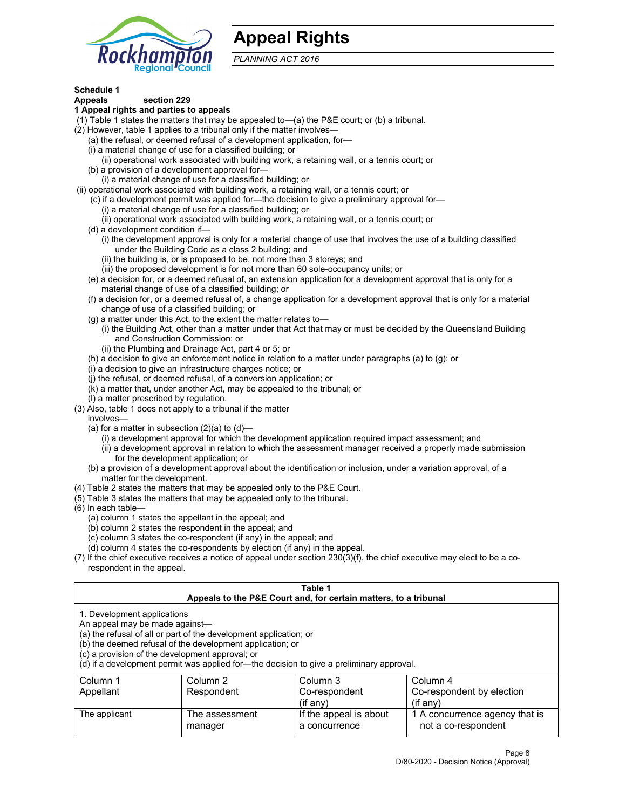

# **Appeal Rights**

*PLANNING ACT 2016*

# **Schedule 1**

# **Appeals section 229**

- **1 Appeal rights and parties to appeals**
- (1) Table 1 states the matters that may be appealed to—(a) the P&E court; or (b) a tribunal.
- (2) However, table 1 applies to a tribunal only if the matter involves—
	- (a) the refusal, or deemed refusal of a development application, for—
	- (i) a material change of use for a classified building; or
	- (ii) operational work associated with building work, a retaining wall, or a tennis court; or
	- (b) a provision of a development approval for—
	- (i) a material change of use for a classified building; or
- (ii) operational work associated with building work, a retaining wall, or a tennis court; or
	- (c) if a development permit was applied for—the decision to give a preliminary approval for—
		- (i) a material change of use for a classified building; or
	- (ii) operational work associated with building work, a retaining wall, or a tennis court; or
	- (d) a development condition if—
		- (i) the development approval is only for a material change of use that involves the use of a building classified under the Building Code as a class 2 building; and
		- (ii) the building is, or is proposed to be, not more than 3 storeys; and
		- (iii) the proposed development is for not more than 60 sole-occupancy units; or
	- (e) a decision for, or a deemed refusal of, an extension application for a development approval that is only for a material change of use of a classified building; or
	- (f) a decision for, or a deemed refusal of, a change application for a development approval that is only for a material change of use of a classified building; or
	- (g) a matter under this Act, to the extent the matter relates to—
		- (i) the Building Act, other than a matter under that Act that may or must be decided by the Queensland Building and Construction Commission; or
		- (ii) the Plumbing and Drainage Act, part 4 or 5; or
	- (h) a decision to give an enforcement notice in relation to a matter under paragraphs (a) to (g); or
	- (i) a decision to give an infrastructure charges notice; or
	- (j) the refusal, or deemed refusal, of a conversion application; or
	- (k) a matter that, under another Act, may be appealed to the tribunal; or
	- (l) a matter prescribed by regulation.
- (3) Also, table 1 does not apply to a tribunal if the matter
	- involves—
		- (a) for a matter in subsection  $(2)(a)$  to  $(d)$ 
			- (i) a development approval for which the development application required impact assessment; and
			- (ii) a development approval in relation to which the assessment manager received a properly made submission for the development application; or
	- (b) a provision of a development approval about the identification or inclusion, under a variation approval, of a matter for the development.
- (4) Table 2 states the matters that may be appealed only to the P&E Court.
- (5) Table 3 states the matters that may be appealed only to the tribunal.
- (6) In each table—
	- (a) column 1 states the appellant in the appeal; and
	- (b) column 2 states the respondent in the appeal; and
	- (c) column 3 states the co-respondent (if any) in the appeal; and
	- (d) column 4 states the co-respondents by election (if any) in the appeal.
- (7) If the chief executive receives a notice of appeal under section 230(3)(f), the chief executive may elect to be a corespondent in the appeal.

| Table 1<br>Appeals to the P&E Court and, for certain matters, to a tribunal                                                                                                                                                                                                                                                                    |                           |                                         |                                                       |  |  |
|------------------------------------------------------------------------------------------------------------------------------------------------------------------------------------------------------------------------------------------------------------------------------------------------------------------------------------------------|---------------------------|-----------------------------------------|-------------------------------------------------------|--|--|
| 1. Development applications<br>An appeal may be made against-<br>(a) the refusal of all or part of the development application; or<br>(b) the deemed refusal of the development application; or<br>(c) a provision of the development approval; or<br>(d) if a development permit was applied for—the decision to give a preliminary approval. |                           |                                         |                                                       |  |  |
| Column 1                                                                                                                                                                                                                                                                                                                                       | Column 2                  | Column 3                                | Column 4                                              |  |  |
| Appellant                                                                                                                                                                                                                                                                                                                                      | Respondent                | Co-respondent                           | Co-respondent by election                             |  |  |
| $(if$ anv)<br>$($ if any $)$                                                                                                                                                                                                                                                                                                                   |                           |                                         |                                                       |  |  |
| The applicant                                                                                                                                                                                                                                                                                                                                  | The assessment<br>manager | If the appeal is about<br>a concurrence | 1 A concurrence agency that is<br>not a co-respondent |  |  |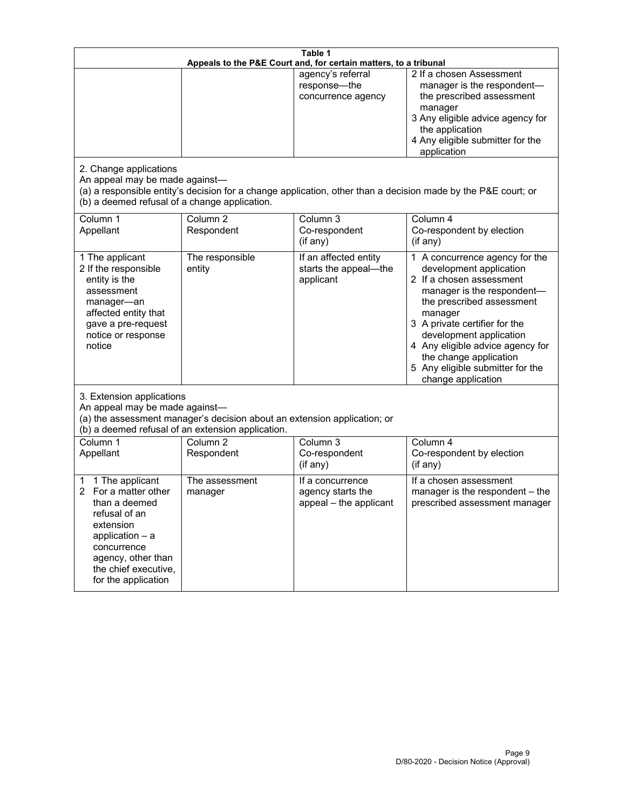| Table 1<br>Appeals to the P&E Court and, for certain matters, to a tribunal                                                                                                                        |                                                                                                                               |                                                                 |                                                                                                                                                                                                                                                                                                                                                 |  |
|----------------------------------------------------------------------------------------------------------------------------------------------------------------------------------------------------|-------------------------------------------------------------------------------------------------------------------------------|-----------------------------------------------------------------|-------------------------------------------------------------------------------------------------------------------------------------------------------------------------------------------------------------------------------------------------------------------------------------------------------------------------------------------------|--|
| 2. Change applications<br>An appeal may be made against-<br>(b) a deemed refusal of a change application.                                                                                          |                                                                                                                               | agency's referral<br>response-the<br>concurrence agency         | 2 If a chosen Assessment<br>manager is the respondent-<br>the prescribed assessment<br>manager<br>3 Any eligible advice agency for<br>the application<br>4 Any eligible submitter for the<br>application<br>(a) a responsible entity's decision for a change application, other than a decision made by the P&E court; or                       |  |
| Column 1<br>Appellant                                                                                                                                                                              | Column $\overline{2}$<br>Respondent                                                                                           | Column 3<br>Co-respondent<br>(if any)                           | Column 4<br>Co-respondent by election<br>$($ if any $)$                                                                                                                                                                                                                                                                                         |  |
| 1 The applicant<br>2 If the responsible<br>entity is the<br>assessment<br>manager-an<br>affected entity that<br>gave a pre-request<br>notice or response<br>notice                                 | The responsible<br>entity                                                                                                     | If an affected entity<br>starts the appeal-the<br>applicant     | 1 A concurrence agency for the<br>development application<br>2 If a chosen assessment<br>manager is the respondent-<br>the prescribed assessment<br>manager<br>3 A private certifier for the<br>development application<br>4 Any eligible advice agency for<br>the change application<br>5 Any eligible submitter for the<br>change application |  |
| 3. Extension applications<br>An appeal may be made against-                                                                                                                                        | (a) the assessment manager's decision about an extension application; or<br>(b) a deemed refusal of an extension application. |                                                                 |                                                                                                                                                                                                                                                                                                                                                 |  |
| Column 1<br>Appellant                                                                                                                                                                              | Column <sub>2</sub><br>Respondent                                                                                             | Column 3<br>Co-respondent<br>(if any)                           | Column 4<br>Co-respondent by election<br>(if any)                                                                                                                                                                                                                                                                                               |  |
| 1 The applicant<br>1<br>For a matter other<br>than a deemed<br>refusal of an<br>extension<br>application $-$ a<br>concurrence<br>agency, other than<br>the chief executive,<br>for the application | The assessment<br>manager                                                                                                     | If a concurrence<br>agency starts the<br>appeal - the applicant | If a chosen assessment<br>manager is the respondent - the<br>prescribed assessment manager                                                                                                                                                                                                                                                      |  |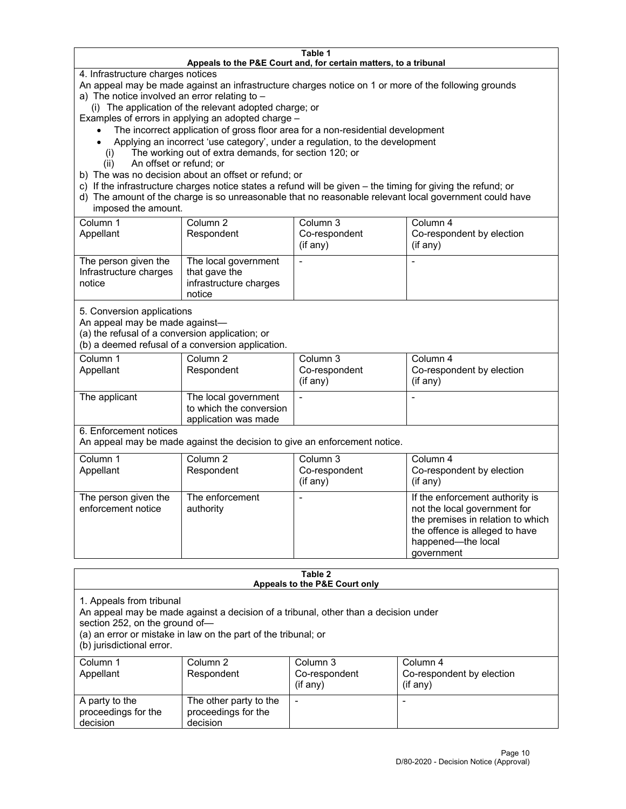#### **Table 1 Appeals to the P&E Court and, for certain matters, to a tribunal**

4. Infrastructure charges notices

An appeal may be made against an infrastructure charges notice on 1 or more of the following grounds

- a) The notice involved an error relating to
	- (i) The application of the relevant adopted charge; or

Examples of errors in applying an adopted charge –

- The incorrect application of gross floor area for a non-residential development
- Applying an incorrect 'use category', under a regulation, to the development
- (i) The working out of extra demands, for section 120; or
- (ii) An offset or refund; or
- b) The was no decision about an offset or refund; or
- c) If the infrastructure charges notice states a refund will be given the timing for giving the refund; or
- d) The amount of the charge is so unreasonable that no reasonable relevant local government could have imposed the amount.

| Column 1<br>Appellant                                    | Column 2<br>Respondent                                                    | Column 3<br>Co-respondent<br>(i f any) | Column 4<br>Co-respondent by election<br>(i f any) |
|----------------------------------------------------------|---------------------------------------------------------------------------|----------------------------------------|----------------------------------------------------|
| The person given the<br>Infrastructure charges<br>notice | The local government<br>that gave the<br>infrastructure charges<br>notice |                                        |                                                    |

5. Conversion applications

An appeal may be made against—

(a) the refusal of a conversion application; or

(b) a deemed refusal of a conversion application.

| Column 1      | Column 2                | Column 3       | Column 4                  |
|---------------|-------------------------|----------------|---------------------------|
| Appellant     | Respondent              | Co-respondent  | Co-respondent by election |
|               |                         | $($ if any $)$ | $($ if any $)$            |
|               |                         |                |                           |
| The applicant | The local government    |                |                           |
|               | to which the conversion |                |                           |
|               | application was made    |                |                           |

6. Enforcement notices

An appeal may be made against the decision to give an enforcement notice.

| Column 1<br>Appellant                      | Column 2<br>Respondent       | Column 3<br>Co-respondent<br>(if any) | Column 4<br>Co-respondent by election<br>(i f any)                                                                                                                         |
|--------------------------------------------|------------------------------|---------------------------------------|----------------------------------------------------------------------------------------------------------------------------------------------------------------------------|
| The person given the<br>enforcement notice | The enforcement<br>authority |                                       | If the enforcement authority is<br>not the local government for<br>the premises in relation to which<br>the offence is alleged to have<br>happened-the local<br>government |

#### **Table 2 Appeals to the P&E Court only**

1. Appeals from tribunal

An appeal may be made against a decision of a tribunal, other than a decision under

section 252, on the ground of—

(a) an error or mistake in law on the part of the tribunal; or

(b) jurisdictional error.

| Column 1<br>Appellant                             | Column 2<br>Respondent                                    | Column 3<br>Co-respondent<br>$(if$ any) | Column 4<br>Co-respondent by election<br>$(if$ any) |
|---------------------------------------------------|-----------------------------------------------------------|-----------------------------------------|-----------------------------------------------------|
| A party to the<br>proceedings for the<br>decision | The other party to the<br>proceedings for the<br>decision | $\overline{\phantom{a}}$                |                                                     |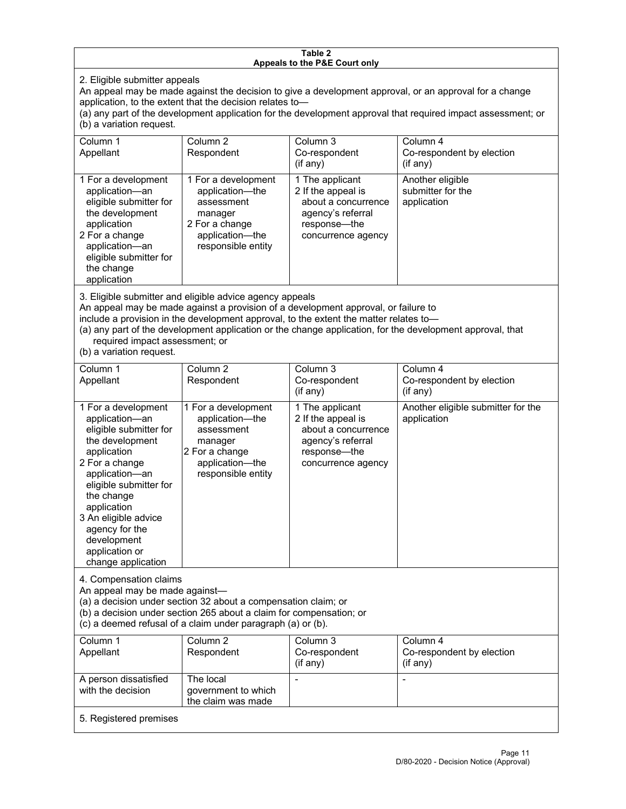#### **Table 2 Appeals to the P&E Court only**

2. Eligible submitter appeals

An appeal may be made against the decision to give a development approval, or an approval for a change application, to the extent that the decision relates to—

(a) any part of the development application for the development approval that required impact assessment; or (b) a variation request.

| Column 1<br>Appellant                                                                                                                                                                        | Column 2<br>Respondent                                                                                                     | Column 3<br>Co-respondent<br>$($ if any $)$                                                                             | Column 4<br>Co-respondent by election<br>(i f any)   |
|----------------------------------------------------------------------------------------------------------------------------------------------------------------------------------------------|----------------------------------------------------------------------------------------------------------------------------|-------------------------------------------------------------------------------------------------------------------------|------------------------------------------------------|
| 1 For a development<br>application-an<br>eligible submitter for<br>the development<br>application<br>2 For a change<br>application-an<br>eligible submitter for<br>the change<br>application | 1 For a development<br>application-the<br>assessment<br>manager<br>2 For a change<br>application-the<br>responsible entity | 1 The applicant<br>2 If the appeal is<br>about a concurrence<br>agency's referral<br>response—the<br>concurrence agency | Another eligible<br>submitter for the<br>application |

3. Eligible submitter and eligible advice agency appeals

An appeal may be made against a provision of a development approval, or failure to

include a provision in the development approval, to the extent the matter relates to—

(a) any part of the development application or the change application, for the development approval, that required impact assessment; or

(b) a variation request.

| Column 1<br>Appellant                                                                                                                                                                                                                                                                         | Column <sub>2</sub><br>Respondent                                                                                          | Column 3<br>Co-respondent<br>(if any)                                                                                   | Column 4<br>Co-respondent by election<br>(if any) |
|-----------------------------------------------------------------------------------------------------------------------------------------------------------------------------------------------------------------------------------------------------------------------------------------------|----------------------------------------------------------------------------------------------------------------------------|-------------------------------------------------------------------------------------------------------------------------|---------------------------------------------------|
| 1 For a development<br>application-an<br>eligible submitter for<br>the development<br>application<br>2 For a change<br>application-an<br>eligible submitter for<br>the change<br>application<br>3 An eligible advice<br>agency for the<br>development<br>application or<br>change application | 1 For a development<br>application-the<br>assessment<br>manager<br>2 For a change<br>application-the<br>responsible entity | 1 The applicant<br>2 If the appeal is<br>about a concurrence<br>agency's referral<br>response—the<br>concurrence agency | Another eligible submitter for the<br>application |
| 4. Compensation claims<br>An appeal may be made against-<br>(a) a decision under section 32 about a compensation claim; or<br>(b) a decision under section 265 about a claim for compensation; or<br>(c) a deemed refusal of a claim under paragraph (a) or (b).                              |                                                                                                                            |                                                                                                                         |                                                   |
| Column 1<br>Appellant                                                                                                                                                                                                                                                                         | Column <sub>2</sub><br>Respondent                                                                                          | Column 3<br>Co-respondent<br>(if any)                                                                                   | Column 4<br>Co-respondent by election<br>(if any) |
| A person dissatisfied<br>with the decision                                                                                                                                                                                                                                                    | The local<br>government to which<br>the claim was made                                                                     | $\overline{a}$                                                                                                          | $\overline{\phantom{a}}$                          |
| 5. Registered premises                                                                                                                                                                                                                                                                        |                                                                                                                            |                                                                                                                         |                                                   |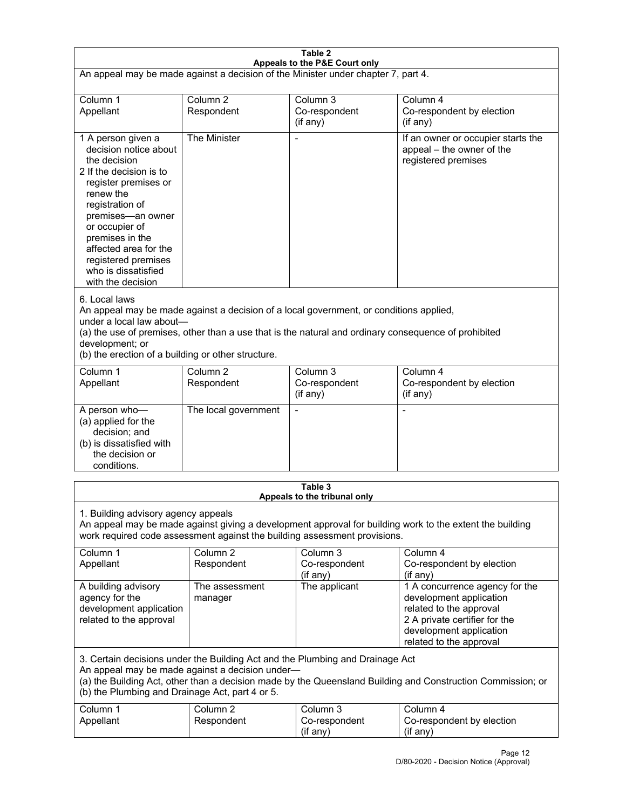| Table 2<br>Appeals to the P&E Court only                                                                                                                                                                                                                                                                             |                                   |                                                  |                                                                                                                                                                             |  |
|----------------------------------------------------------------------------------------------------------------------------------------------------------------------------------------------------------------------------------------------------------------------------------------------------------------------|-----------------------------------|--------------------------------------------------|-----------------------------------------------------------------------------------------------------------------------------------------------------------------------------|--|
| An appeal may be made against a decision of the Minister under chapter 7, part 4.                                                                                                                                                                                                                                    |                                   |                                                  |                                                                                                                                                                             |  |
| Column 1<br>Appellant                                                                                                                                                                                                                                                                                                | Column <sub>2</sub><br>Respondent | Column <sub>3</sub><br>Co-respondent<br>(if any) | Column 4<br>Co-respondent by election<br>(if any)                                                                                                                           |  |
| 1 A person given a<br>decision notice about<br>the decision<br>2 If the decision is to<br>register premises or<br>renew the<br>registration of<br>premises-an owner<br>or occupier of<br>premises in the<br>affected area for the<br>registered premises<br>who is dissatisfied<br>with the decision                 | The Minister                      | Ĭ.                                               | If an owner or occupier starts the<br>appeal - the owner of the<br>registered premises                                                                                      |  |
| 6. Local laws<br>An appeal may be made against a decision of a local government, or conditions applied,<br>under a local law about-<br>(a) the use of premises, other than a use that is the natural and ordinary consequence of prohibited<br>development; or<br>(b) the erection of a building or other structure. |                                   |                                                  |                                                                                                                                                                             |  |
| Column 1<br>Appellant                                                                                                                                                                                                                                                                                                | Column <sub>2</sub><br>Respondent | Column 3<br>Co-respondent<br>(if any)            | Column 4<br>Co-respondent by election<br>(if any)                                                                                                                           |  |
| A person who-<br>(a) applied for the<br>decision; and<br>(b) is dissatisfied with<br>the decision or<br>conditions.                                                                                                                                                                                                  | The local government              | L,                                               | $\overline{a}$                                                                                                                                                              |  |
|                                                                                                                                                                                                                                                                                                                      |                                   | Table 3<br>Appeals to the tribunal only          |                                                                                                                                                                             |  |
| 1. Building advisory agency appeals<br>An appeal may be made against giving a development approval for building work to the extent the building<br>work required code assessment against the building assessment provisions.                                                                                         |                                   |                                                  |                                                                                                                                                                             |  |
| Column 1<br>Appellant                                                                                                                                                                                                                                                                                                | Column <sub>2</sub><br>Respondent | Column 3<br>Co-respondent<br>(if any)            | Column 4<br>Co-respondent by election<br>(if any)                                                                                                                           |  |
| A building advisory<br>agency for the<br>development application<br>related to the approval                                                                                                                                                                                                                          | The assessment<br>manager         | The applicant                                    | 1 A concurrence agency for the<br>development application<br>related to the approval<br>2 A private certifier for the<br>development application<br>related to the approval |  |
| 3. Certain decisions under the Building Act and the Plumbing and Drainage Act<br>An appeal may be made against a decision under-<br>(a) the Building Act, other than a decision made by the Queensland Building and Construction Commission; or<br>(b) the Plumbing and Drainage Act, part 4 or 5.                   |                                   |                                                  |                                                                                                                                                                             |  |
| Column 1<br>Appellant                                                                                                                                                                                                                                                                                                | Column <sub>2</sub><br>Respondent | Column 3<br>Co-respondent<br>(if any)            | Column 4<br>Co-respondent by election<br>(if any)                                                                                                                           |  |